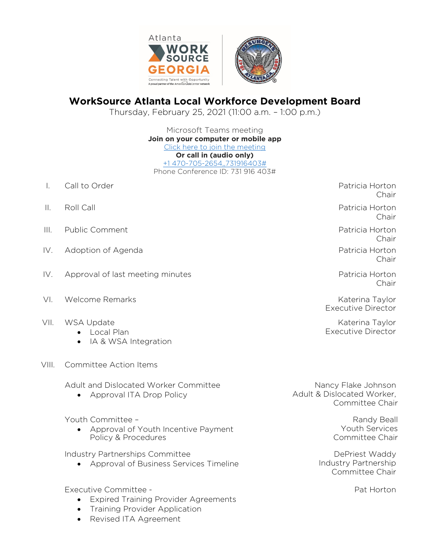

## **WorkSource Atlanta Local Workforce Development Board**

Thursday, February 25, 2021 (11:00 a.m. – 1:00 p.m.)

Microsoft Teams meeting **Join on your computer or mobile app** [Click here to join the meeting](https://gcc02.safelinks.protection.outlook.com/ap/t-59584e83/?url=https%3A%2F%2Fteams.microsoft.com%2Fl%2Fmeetup-join%2F19%253ameeting_ZGM3ODcxMTUtZWI2Ni00Zjk0LWI1NzUtNzUzMTVjNDgzNTJi%2540thread.v2%2F0%3Fcontext%3D%257b%2522Tid%2522%253a%2522031a550a-f1f3-4b62-9c64-3ef02c7798a5%2522%252c%2522Oid%2522%253a%2522c00e4375-5a1a-4bd1-b849-4b74e5398777%2522%257d&data=04%7C01%7CRDickerson%40AtlantaGa.Gov%7C96a36db66ad04c0688e508d8bc9ed1da%7C031a550af1f34b629c643ef02c7798a5%7C0%7C0%7C637466737593553964%7CUnknown%7CTWFpbGZsb3d8eyJWIjoiMC4wLjAwMDAiLCJQIjoiV2luMzIiLCJBTiI6Ik1haWwiLCJXVCI6Mn0%3D%7C1000&sdata=Um1wipBnmYyXMn4dRlSRVEDM%2FoiGVo2GLQlsvONEeWI%3D&reserved=0) **Or call in (audio only)** [+1 470-705-2654,,731916403#](tel:+14707052654,,731916403) Phone Conference ID: 731 916 403#

- I. Call to Order Patricia Horton
- II. Roll Call Patricia Horton
- III. Public Comment Patricia Horton
- IV. Adoption of Agenda Patricia Horton and Patricia Horton Patricia Horton
- IV. Approval of last meeting minutes **Patricia Horton** Patricia Horton
- VI. Welcome Remarks **Katerina Taylor** Katerina Taylor
- VII. WSA Update
	- Local Plan
		- IA & WSA Integration
- VIII. Committee Action Items

Adult and Dislocated Worker Committee

• Approval ITA Drop Policy

Youth Committee –

• Approval of Youth Incentive Payment Policy & Procedures

Industry Partnerships Committee

• Approval of Business Services Timeline

Executive Committee -

- Expired Training Provider Agreements
- Training Provider Application
- Revised ITA Agreement

Chair

Chair

Chair

Chair

Chair

Executive Director

Katerina Taylor Executive Director

Nancy Flake Johnson Adult & Dislocated Worker, Committee Chair

> Randy Beall Youth Services Committee Chair

DePriest Waddy Industry Partnership Committee Chair

Pat Horton